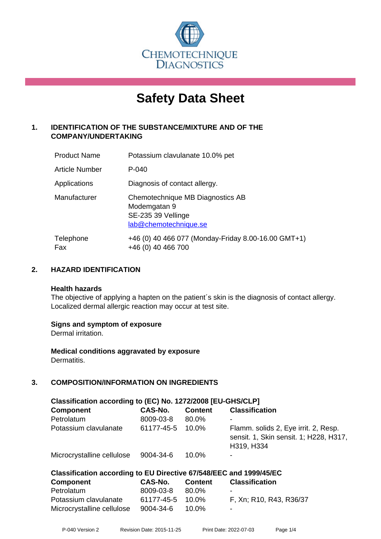

# **Safety Data Sheet**

# **1. IDENTIFICATION OF THE SUBSTANCE/MIXTURE AND OF THE COMPANY/UNDERTAKING**

| <b>Product Name</b>   | Potassium clavulanate 10.0% pet                                                                 |
|-----------------------|-------------------------------------------------------------------------------------------------|
| <b>Article Number</b> | $P - 040$                                                                                       |
| Applications          | Diagnosis of contact allergy.                                                                   |
| Manufacturer          | Chemotechnique MB Diagnostics AB<br>Modemgatan 9<br>SE-235 39 Vellinge<br>lab@chemotechnique.se |
| Telephone<br>Fax      | +46 (0) 40 466 077 (Monday-Friday 8.00-16.00 GMT+1)<br>+46 (0) 40 466 700                       |

# **2. HAZARD IDENTIFICATION**

#### **Health hazards**

The objective of applying a hapten on the patient's skin is the diagnosis of contact allergy. Localized dermal allergic reaction may occur at test site.

# **Signs and symptom of exposure**

Dermal irritation.

**Medical conditions aggravated by exposure** Dermatitis.

# **3. COMPOSITION/INFORMATION ON INGREDIENTS**

| Classification according to (EC) No. 1272/2008 [EU-GHS/CLP]        |            |                |                                                                                              |  |  |
|--------------------------------------------------------------------|------------|----------------|----------------------------------------------------------------------------------------------|--|--|
| <b>Component</b>                                                   | CAS-No.    | <b>Content</b> | <b>Classification</b>                                                                        |  |  |
| Petrolatum                                                         | 8009-03-8  | 80.0%          | -                                                                                            |  |  |
| Potassium clavulanate                                              | 61177-45-5 | 10.0%          | Flamm. solids 2, Eye irrit. 2, Resp.<br>sensit. 1, Skin sensit. 1; H228, H317,<br>H319, H334 |  |  |
| Microcrystalline cellulose                                         | 9004-34-6  | 10.0%          |                                                                                              |  |  |
| Classification according to EU Directive 67/548/EEC and 1999/45/EC |            |                |                                                                                              |  |  |
| <b>Component</b>                                                   | CAS-No.    | <b>Content</b> | <b>Classification</b>                                                                        |  |  |
| Petrolatum                                                         | 8009-03-8  | 80.0%          | -                                                                                            |  |  |
| Potassium clavulanate                                              | 61177-45-5 | 10.0%          | F, Xn; R10, R43, R36/37                                                                      |  |  |

Microcrystalline cellulose 9004-34-6 10.0%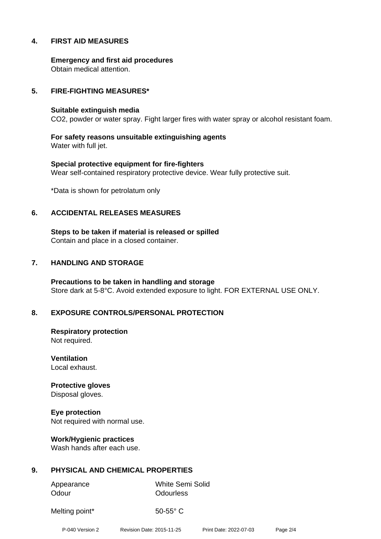# **4. FIRST AID MEASURES**

**Emergency and first aid procedures** Obtain medical attention.

## **5. FIRE-FIGHTING MEASURES\***

#### **Suitable extinguish media**

CO2, powder or water spray. Fight larger fires with water spray or alcohol resistant foam.

**For safety reasons unsuitable extinguishing agents** Water with full jet.

**Special protective equipment for fire-fighters** Wear self-contained respiratory protective device. Wear fully protective suit.

\*Data is shown for petrolatum only

#### **6. ACCIDENTAL RELEASES MEASURES**

**Steps to be taken if material is released or spilled** Contain and place in a closed container.

## **7. HANDLING AND STORAGE**

**Precautions to be taken in handling and storage** Store dark at 5-8°C. Avoid extended exposure to light. FOR EXTERNAL USE ONLY.

# **8. EXPOSURE CONTROLS/PERSONAL PROTECTION**

**Respiratory protection** Not required.

**Ventilation** Local exhaust.

**Protective gloves** Disposal gloves.

**Eye protection** Not required with normal use.

**Work/Hygienic practices** Wash hands after each use.

# **9. PHYSICAL AND CHEMICAL PROPERTIES**

Odour **Odourless** 

Appearance White Semi Solid

Melting point\* 50-55° C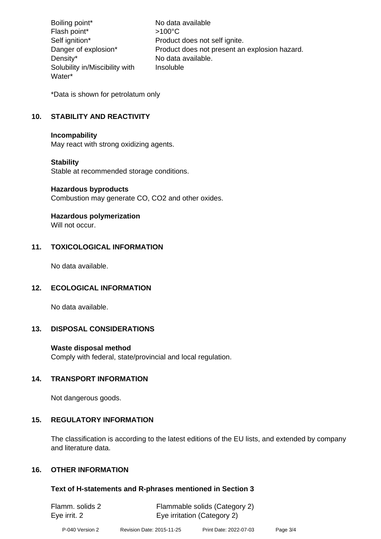Boiling point\* No data available Flash point\*  $>100^{\circ}$ C Self ignition\* Product does not self ignite. Danger of explosion\* Product does not present an explosion hazard. Density\* No data available. Solubility in/Miscibility with Water\* Insoluble

\*Data is shown for petrolatum only

# **10. STABILITY AND REACTIVITY**

#### **Incompability**

May react with strong oxidizing agents.

# **Stability**

Stable at recommended storage conditions.

#### **Hazardous byproducts**

Combustion may generate CO, CO2 and other oxides.

# **Hazardous polymerization**

Will not occur.

# **11. TOXICOLOGICAL INFORMATION**

No data available.

# **12. ECOLOGICAL INFORMATION**

No data available.

# **13. DISPOSAL CONSIDERATIONS**

# **Waste disposal method**

Comply with federal, state/provincial and local regulation.

# **14. TRANSPORT INFORMATION**

Not dangerous goods.

# **15. REGULATORY INFORMATION**

The classification is according to the latest editions of the EU lists, and extended by company and literature data.

# **16. OTHER INFORMATION**

# **Text of H-statements and R-phrases mentioned in Section 3**

| Flamm. solids 2 | Flammable solids (Category 2) |
|-----------------|-------------------------------|
| Eye irrit. 2    | Eye irritation (Category 2)   |
|                 |                               |